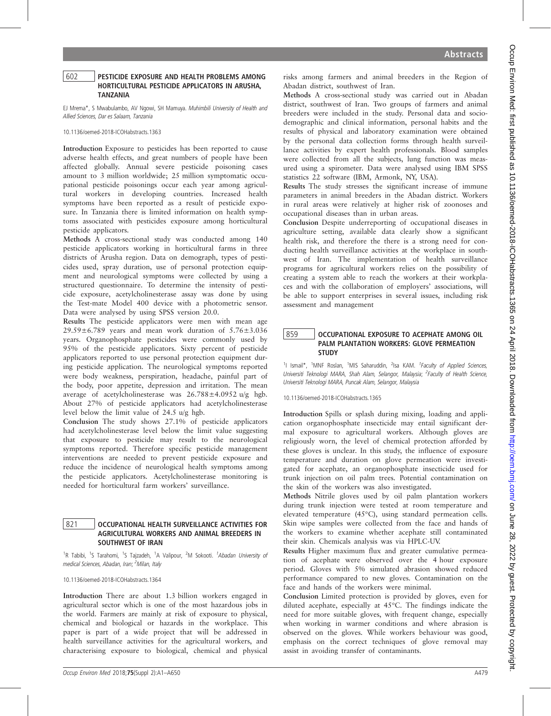#### 602 PESTICIDE EXPOSURE AND HEALTH PROBLEMS AMONG HORTICULTURAL PESTICIDE APPLICATORS IN ARUSHA, TANZANIA

EJ Mrema\*, S Mwabulambo, AV Ngowi, SH Mamuya. Muhimbili University of Health and Allied Sciences, Dar es Salaam, Tanzania

10.1136/oemed-2018-ICOHabstracts.1363

Introduction Exposure to pesticides has been reported to cause adverse health effects, and great numbers of people have been affected globally. Annual severe pesticide poisoning cases amount to 3 million worldwide; 25 million symptomatic occupational pesticide poisonings occur each year among agricultural workers in developing countries. Increased health symptoms have been reported as a result of pesticide exposure. In Tanzania there is limited information on health symptoms associated with pesticides exposure among horticultural pesticide applicators.

Methods A cross-sectional study was conducted among 140 pesticide applicators working in horticultural farms in three districts of Arusha region. Data on demograph, types of pesticides used, spray duration, use of personal protection equipment and neurological symptoms were collected by using a structured questionnaire. To determine the intensity of pesticide exposure, acetylcholinesterase assay was done by using the Test-mate Model 400 device with a photometric sensor. Data were analysed by using SPSS version 20.0.

Results The pesticide applicators were men with mean age  $29.59\pm6.789$  years and mean work duration of  $5.76\pm3.036$ years. Organophosphate pesticides were commonly used by 95% of the pesticide applicators. Sixty percent of pesticide applicators reported to use personal protection equipment during pesticide application. The neurological symptoms reported were body weakness, perspiration, headache, painful part of the body, poor appetite, depression and irritation. The mean average of acetylcholinesterase was 26.788±4.0952 u/g hgb. About 27% of pesticide applicators had acetylcholinesterase level below the limit value of 24.5 u/g hgb.

Conclusion The study shows 27.1% of pesticide applicators had acetylcholinesterase level below the limit value suggesting that exposure to pesticide may result to the neurological symptoms reported. Therefore specific pesticide management interventions are needed to prevent pesticide exposure and reduce the incidence of neurological health symptoms among the pesticide applicators. Acetylcholinesterase monitoring is needed for horticultural farm workers' surveillance.

### 821 OCCUPATIONAL HEALTH SURVEILLANCE ACTIVITIES FOR AGRICULTURAL WORKERS AND ANIMAL BREEDERS IN SOUTHWEST OF IRAN

<sup>1</sup>R Tabibi, <sup>1</sup>S Tarahomi, <sup>1</sup>S Tajzadeh, <sup>1</sup>A Valipour, <sup>2</sup>M Sokooti. <sup>*1</sup>Abadan University of*</sup> medical Sciences, Abadan, Iran; <sup>2</sup>Milan, Italy

10.1136/oemed-2018-ICOHabstracts.1364

Introduction There are about 1.3 billion workers engaged in agricultural sector which is one of the most hazardous jobs in the world. Farmers are mainly at risk of exposure to physical, chemical and biological or hazards in the workplace. This paper is part of a wide project that will be addressed in health surveillance activities for the agricultural workers, and characterising exposure to biological, chemical and physical

risks among farmers and animal breeders in the Region of Abadan district, southwest of Iran.

Methods A cross-sectional study was carried out in Abadan district, southwest of Iran. Two groups of farmers and animal breeders were included in the study. Personal data and sociodemographic and clinical information, personal habits and the results of physical and laboratory examination were obtained by the personal data collection forms through health surveillance activities by expert health professionals. Blood samples were collected from all the subjects, lung function was measured using a spirometer. Data were analysed using IBM SPSS statistics 22 software (IBM, Armonk, NY, USA).

Results The study stresses the significant increase of immune parameters in animal breeders in the Abadan district. Workers in rural areas were relatively at higher risk of zoonoses and occupational diseases than in urban areas.

Conclusion Despite underreporting of occupational diseases in agriculture setting, available data clearly show a significant health risk, and therefore the there is a strong need for conducting health surveillance activities at the workplace in southwest of Iran. The implementation of health surveillance programs for agricultural workers relies on the possibility of creating a system able to reach the workers at their workplaces and with the collaboration of employers' associations, will be able to support enterprises in several issues, including risk assessment and management

## 859 CCUPATIONAL EXPOSURE TO ACEPHATE AMONG OIL PALM PLANTATION WORKERS: GLOVE PERMEATION **STUDY**

<sup>1</sup>I Ismail\*, <sup>1</sup>MNF Roslan, <sup>1</sup>MIS Saharuddin, <sup>2</sup>Isa KAM. <sup>1</sup>Faculty of Applied Sciences, Universiti Teknologi MARA, Shah Alam, Selangor, Malaysia; <sup>2</sup>Faculty of Health Science, Universiti Teknologi MARA, Puncak Alam, Selangor, Malaysia

10.1136/oemed-2018-ICOHabstracts.1365

Introduction Spills or splash during mixing, loading and application organophosphate insecticide may entail significant dermal exposure to agricultural workers. Although gloves are religiously worn, the level of chemical protection afforded by these gloves is unclear. In this study, the influence of exposure temperature and duration on glove permeation were investigated for acephate, an organophosphate insecticide used for trunk injection on oil palm trees. Potential contamination on the skin of the workers was also investigated.

Methods Nitrile gloves used by oil palm plantation workers during trunk injection were tested at room temperature and elevated temperature (45°C), using standard permeation cells. Skin wipe samples were collected from the face and hands of the workers to examine whether acephate still contaminated their skin. Chemicals analysis was via HPLC-UV.

Results Higher maximum flux and greater cumulative permeation of acephate were observed over the 4 hour exposure period. Gloves with 5% simulated abrasion showed reduced performance compared to new gloves. Contamination on the face and hands of the workers were minimal.

Conclusion Limited protection is provided by gloves, even for diluted acephate, especially at 45°C. The findings indicate the need for more suitable gloves, with frequent change, especially when working in warmer conditions and where abrasion is observed on the gloves. While workers behaviour was good, emphasis on the correct techniques of glove removal may assist in avoiding transfer of contaminants.